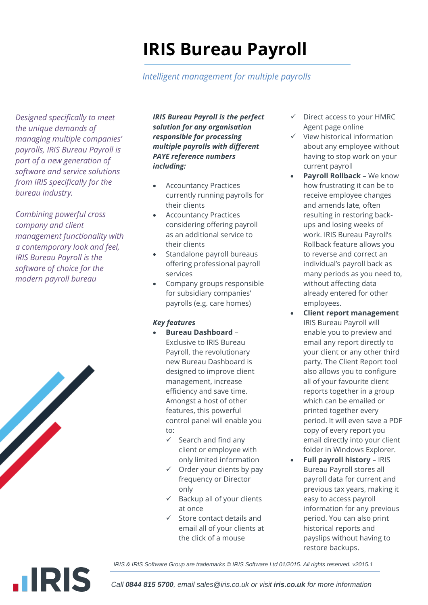# **IRIS Bureau Payroll**

### *Intelligent management for multiple payrolls*

*Designed specifically to meet the unique demands of managing multiple companies' payrolls, IRIS Bureau Payroll is part of a new generation of software and service solutions from IRIS specifically for the bureau industry.*

*Combining powerful cross company and client management functionality with a contemporary look and feel, IRIS Bureau Payroll is the software of choice for the modern payroll bureau*



**.IRIS** 

*IRIS Bureau Payroll is the perfect solution for any organisation responsible for processing multiple payrolls with different PAYE reference numbers including:*

- Accountancy Practices currently running payrolls for their clients
- Accountancy Practices considering offering payroll as an additional service to their clients
- Standalone payroll bureaus offering professional payroll services
- Company groups responsible for subsidiary companies' payrolls (e.g. care homes)

#### *Key features*

- **Bureau Dashboard** Exclusive to IRIS Bureau Payroll, the revolutionary new Bureau Dashboard is designed to improve client management, increase efficiency and save time. Amongst a host of other features, this powerful control panel will enable you to:
	- $\checkmark$  Search and find any client or employee with only limited information
	- $\checkmark$  Order your clients by pay frequency or Director only
	- $\checkmark$  Backup all of your clients at once
	- $\checkmark$  Store contact details and email all of your clients at the click of a mouse
- $\checkmark$  Direct access to your HMRC Agent page online
- $\checkmark$  View historical information about any employee without having to stop work on your current payroll
- **Payroll Rollback** We know how frustrating it can be to receive employee changes and amends late, often resulting in restoring backups and losing weeks of work. IRIS Bureau Payroll's Rollback feature allows you to reverse and correct an individual's payroll back as many periods as you need to, without affecting data already entered for other employees.
- **Client report management** IRIS Bureau Payroll will enable you to preview and email any report directly to your client or any other third party. The Client Report tool also allows you to configure all of your favourite client reports together in a group which can be emailed or printed together every period. It will even save a PDF copy of every report you email directly into your client folder in Windows Explorer.
- **Full payroll history**  IRIS Bureau Payroll stores all payroll data for current and previous tax years, making it easy to access payroll information for any previous period. You can also print historical reports and payslips without having to restore backups.

*IRIS & IRIS Software Group are trademarks © IRIS Software Ltd 01/2015. All rights reserved. v2015.1*